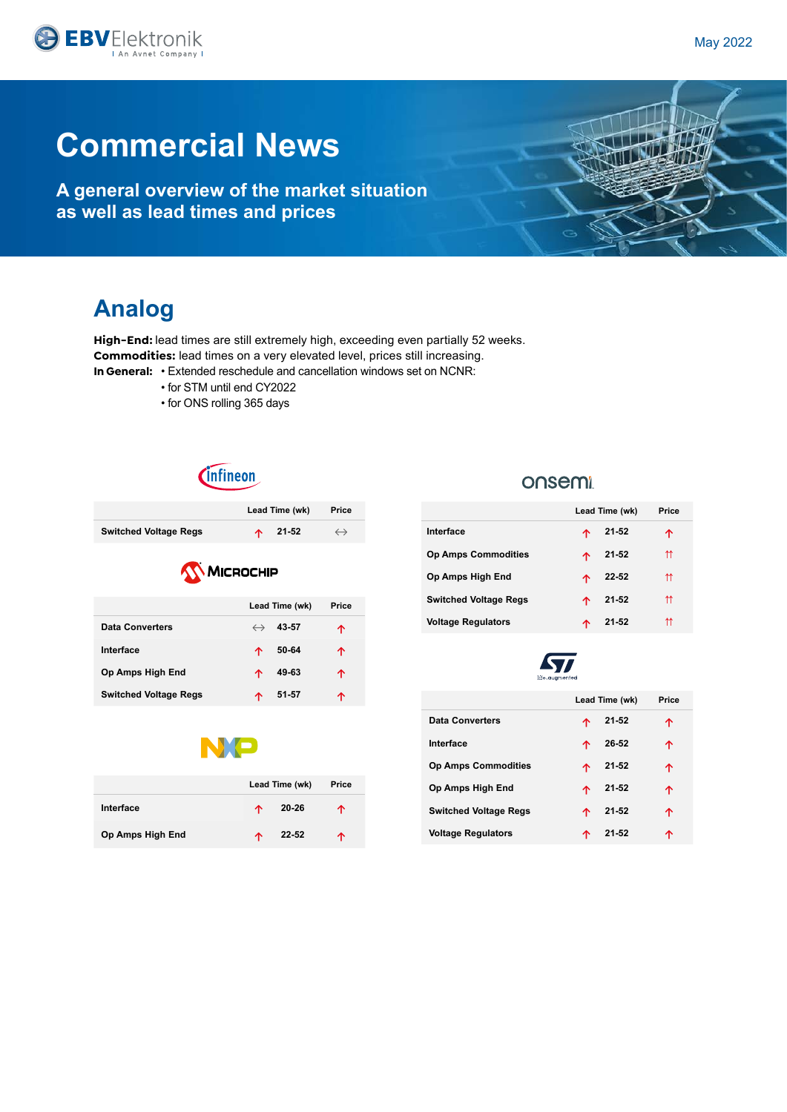

**A general overview of the market situation as well as lead times and prices**

## **Analog**

**High-End:** lead times are still extremely high, exceeding even partially 52 weeks. **Commodities:** lead times on a very elevated level, prices still increasing. **In General:** • Extended reschedule and cancellation windows set on NCNR:

- for STM until end CY2022
- for ONS rolling 365 days

*<u>Cinfineon</u>* 

|                              | Lead Time (wk)   | Price             |
|------------------------------|------------------|-------------------|
| <b>Switched Voltage Regs</b> | $\uparrow$ 21-52 | $\leftrightarrow$ |
| <b>KV</b> MICROCHIP          |                  |                   |

|                              |                   | Lead Time (wk) | Price |
|------------------------------|-------------------|----------------|-------|
| <b>Data Converters</b>       | $\leftrightarrow$ | 43-57          | ጥ     |
| Interface                    | ᠰ                 | 50-64          | ጥ     |
| Op Amps High End             | ∧                 | 49-63          | ኍ     |
| <b>Switched Voltage Regs</b> |                   | 51-57          |       |



|                  | Lead Time (wk) |       | Price |
|------------------|----------------|-------|-------|
| Interface        | ᠰ              | 20-26 | ᠰ     |
| Op Amps High End | ᠰ              | 22-52 | ᠰ     |

### onsemi

|                              | Lead Time (wk) |           | Price |
|------------------------------|----------------|-----------|-------|
| Interface                    | 个              | 21-52     |       |
| <b>Op Amps Commodities</b>   |                | 21-52     | ⇈     |
| Op Amps High End             | ∧              | 22-52     | ⇈     |
| <b>Switched Voltage Regs</b> | ∧              | 21-52     | ⇈     |
| <b>Voltage Regulators</b>    |                | $21 - 52$ | ⇈     |



|                              | Lead Time (wk) |                  | Price |
|------------------------------|----------------|------------------|-------|
| Data Converters              | 本              | 21-52            |       |
| Interface                    | 个              | 26-52            | ↑     |
| <b>Op Amps Commodities</b>   |                | $\uparrow$ 21-52 | ኍ     |
| Op Amps High End             |                | $\uparrow$ 21-52 | ጥ     |
| <b>Switched Voltage Regs</b> | 个              | $21 - 52$        | ↑     |
| <b>Voltage Regulators</b>    | ∧              | $21 - 52$        |       |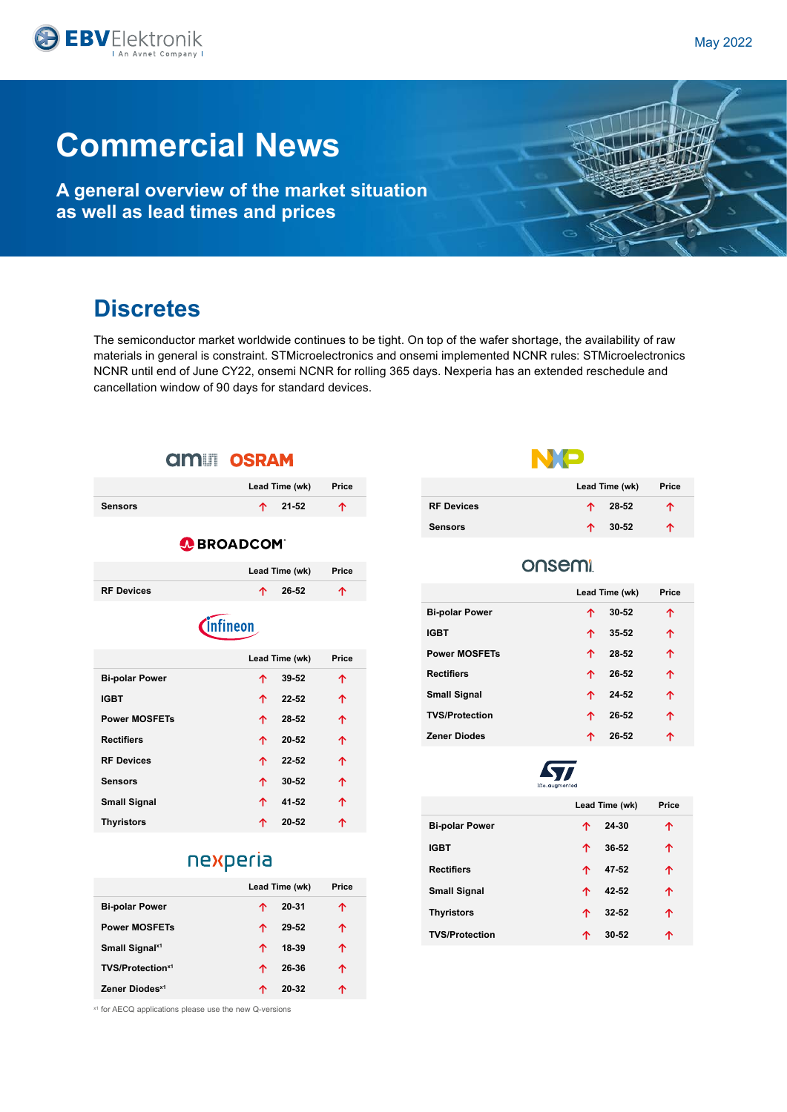**A general overview of the market situation as well as lead times and prices**

## **Discretes**

The semiconductor market worldwide continues to be tight. On top of the wafer shortage, the availability of raw materials in general is constraint. STMicroelectronics and onsemi implemented NCNR rules: STMicroelectronics NCNR until end of June CY22, onsemi NCNR for rolling 365 days. Nexperia has an extended reschedule and cancellation window of 90 days for standard devices.



### nexperia

|                              | Lead Time (wk) |       | Price |  |
|------------------------------|----------------|-------|-------|--|
| <b>Bi-polar Power</b>        | ↑              | 20-31 | ↑     |  |
| <b>Power MOSFETs</b>         | ᠰ              | 29-52 | ↑     |  |
| Small Signal <sup>x1</sup>   | ᠰ              | 18-39 | ↑     |  |
| TVS/Protection <sup>x1</sup> | ᠰ              | 26-36 | ↑     |  |
| Zener Diodes <sup>x1</sup>   | ́^             | 20-32 | ጥ     |  |

x1 for AECQ applications please use the new Q-versions



|                   | Lead Time (wk) |                  | Price |
|-------------------|----------------|------------------|-------|
| <b>RF Devices</b> |                | $\uparrow$ 28-52 | ↑     |
| <b>Sensors</b>    | 个              | 30-52            | ᠰ     |

### onsemi

|                       | Lead Time (wk) |       | Price |  |
|-----------------------|----------------|-------|-------|--|
| <b>Bi-polar Power</b> | ↑              | 30-52 | ↑     |  |
| <b>IGBT</b>           | ↑              | 35-52 | 个     |  |
| <b>Power MOSFETs</b>  | ↑              | 28-52 | 个     |  |
| <b>Rectifiers</b>     | 个              | 26-52 | 个     |  |
| <b>Small Signal</b>   | ᠰ              | 24-52 | 个     |  |
| <b>TVS/Protection</b> | ᠰ              | 26-52 | 个     |  |
| <b>Zener Diodes</b>   | ᠰ              | 26-52 | ↑     |  |
|                       |                |       |       |  |



|                       | Lead Time (wk) |           | Price |
|-----------------------|----------------|-----------|-------|
| <b>Bi-polar Power</b> | ᠰ              | 24-30     | ↑     |
| <b>IGBT</b>           | ᠰ              | 36-52     | ᠰ     |
| <b>Rectifiers</b>     | ᠰ              | 47-52     | ↑     |
| <b>Small Signal</b>   | ᠰ              | 42-52     | ↑     |
| <b>Thyristors</b>     | ᠰ              | $32 - 52$ | ᠰ     |
| <b>TVS/Protection</b> | ́↑             | 30-52     | ጥ     |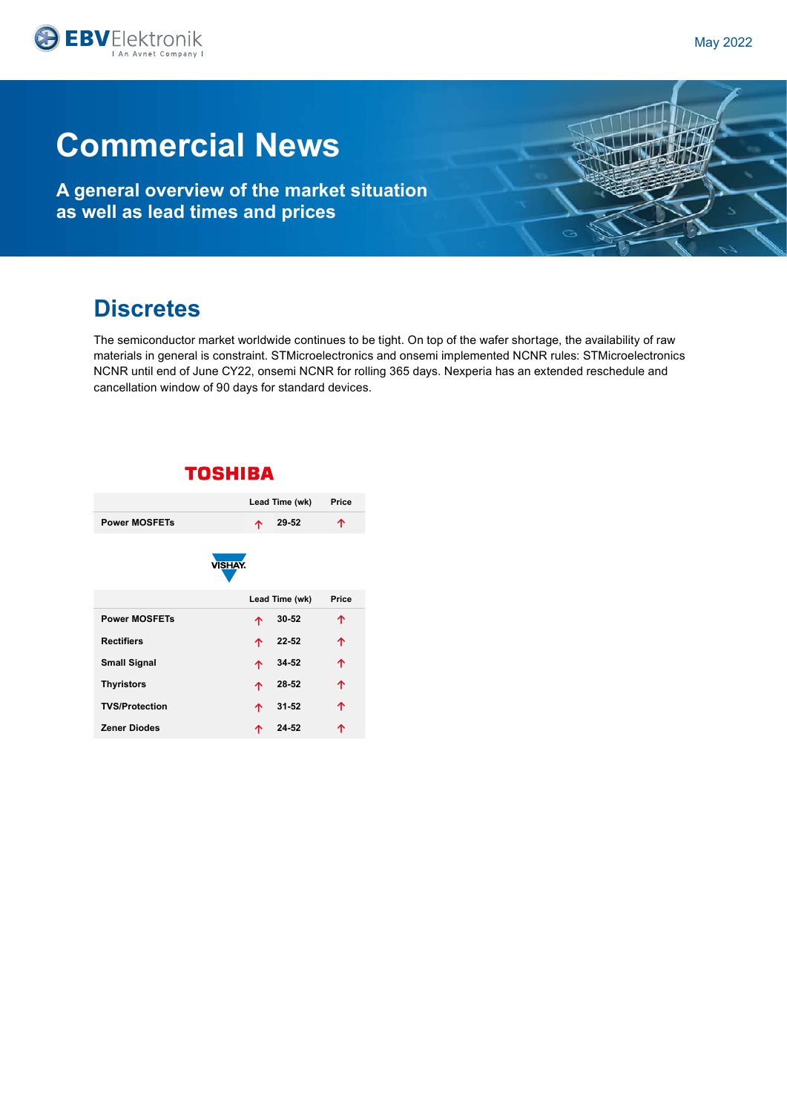

**A general overview of the market situation as well as lead times and prices**

## **Discretes**

The semiconductor market worldwide continues to be tight. On top of the wafer shortage, the availability of raw materials in general is constraint. STMicroelectronics and onsemi implemented NCNR rules: STMicroelectronics NCNR until end of June CY22, onsemi NCNR for rolling 365 days. Nexperia has an extended reschedule and cancellation window of 90 days for standard devices.

|                       |                | Lead Time (wk) | Price |
|-----------------------|----------------|----------------|-------|
| <b>Power MOSFETs</b>  | 个              | 29-52          |       |
|                       | <b>VISHAY.</b> |                |       |
|                       |                | Lead Time (wk) | Price |
| <b>Power MOSFETs</b>  | 个              | $30 - 52$      | ↑     |
| <b>Rectifiers</b>     | 个              | $22 - 52$      | ተ     |
| <b>Small Signal</b>   | 个              | 34-52          | 个     |
| <b>Thyristors</b>     | 个              | 28-52          | 个     |
| <b>TVS/Protection</b> | 个              | $31 - 52$      | 个     |
| <b>Zener Diodes</b>   | ኍ              | 24-52          |       |

### **TOSHIBA**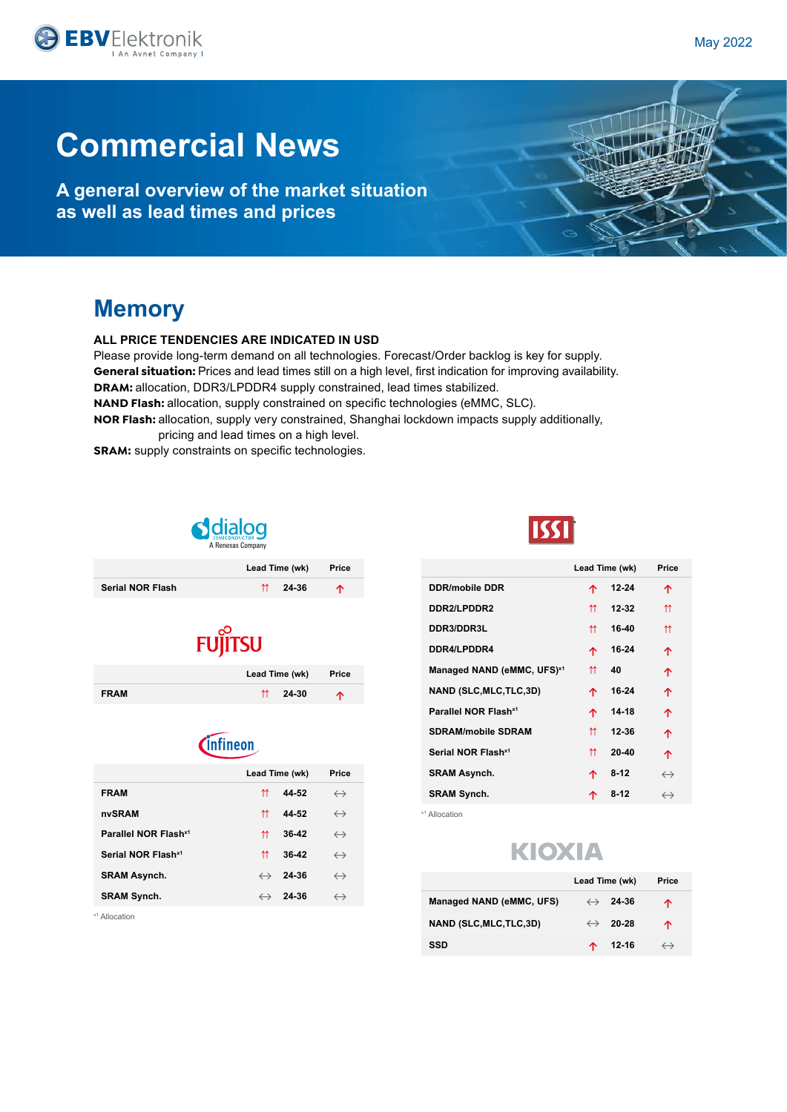**A general overview of the market situation as well as lead times and prices**

## **Memory**

### **ALL PRICE TENDENCIES ARE INDICATED IN USD**

Please provide long-term demand on all technologies. Forecast/Order backlog is key for supply. **General situation:** Prices and lead times still on a high level, first indication for improving availability. **DRAM:** allocation, DDR3/LPDDR4 supply constrained, lead times stabilized. **NAND Flash:** allocation, supply constrained on specific technologies (eMMC, SLC).

**NOR Flash:** allocation, supply very constrained, Shanghai lockdown impacts supply additionally,

pricing and lead times on a high level. **SRAM:** supply constraints on specific technologies.



|                         | Lead Time (wk)             | Price |
|-------------------------|----------------------------|-------|
| <b>Serial NOR Flash</b> | $^{\prime\prime}$<br>24-36 | 个     |



|             | Lead Time (wk) |                  | Price |
|-------------|----------------|------------------|-------|
| <b>FRAM</b> |                | $\uparrow$ 24-30 | ᠰ     |



|                   | Price             |                                                                                        |
|-------------------|-------------------|----------------------------------------------------------------------------------------|
| ⇈                 | $\leftrightarrow$ |                                                                                        |
| ⇈                 | $\leftrightarrow$ |                                                                                        |
| ⇈                 | $\leftrightarrow$ |                                                                                        |
| ⇈                 | $\leftrightarrow$ |                                                                                        |
|                   | $\leftrightarrow$ |                                                                                        |
| $\leftrightarrow$ | $\leftrightarrow$ |                                                                                        |
|                   |                   | Lead Time (wk)<br>44-52<br>44-52<br>36-42<br>36-42<br>$\leftrightarrow$ 24-36<br>24-36 |

x1 Allocation



|                                        |   | Lead Time (wk) | Price             |
|----------------------------------------|---|----------------|-------------------|
| <b>DDR/mobile DDR</b>                  | 个 | 12-24          | 个                 |
| DDR2/LPDDR2                            | ⇈ | 12-32          | ⇈                 |
| DDR3/DDR3L                             | ⇈ | 16-40          | ⇈                 |
| DDR4/LPDDR4                            | 个 | 16-24          | 个                 |
| Managed NAND (eMMC, UFS) <sup>x1</sup> | ⇈ | 40             | 个                 |
| <b>NAND (SLC, MLC, TLC, 3D)</b>        | 个 | 16-24          | 个                 |
| Parallel NOR Flash <sup>x1</sup>       | 个 | $14 - 18$      | 个                 |
| <b>SDRAM/mobile SDRAM</b>              | ⇈ | 12-36          | 个                 |
| Serial NOR Flash <sup>x1</sup>         | ⇈ | $20 - 40$      | 个                 |
| <b>SRAM Asynch.</b>                    | 个 | $8 - 12$       | $\leftrightarrow$ |
| <b>SRAM Synch.</b>                     | 个 | $8-12$         | $\leftrightarrow$ |

x1 Allocation

## **KIOXIA**

|                          | Lead Time (wk)          | Price             |
|--------------------------|-------------------------|-------------------|
| Managed NAND (eMMC, UFS) | $\leftrightarrow$ 24-36 | ᠰ                 |
| NAND (SLC, MLC, TLC, 3D) | $\leftrightarrow$ 20-28 | ᠰ                 |
| SSD                      | 12-16                   | $\leftrightarrow$ |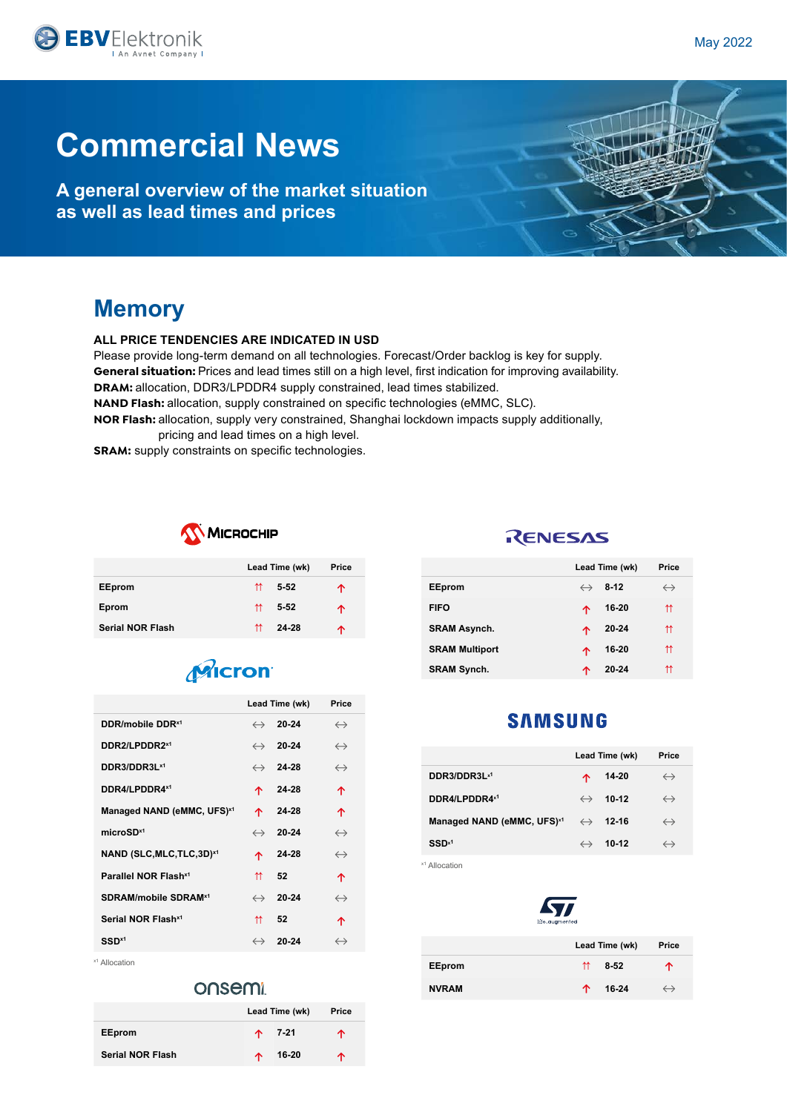**A general overview of the market situation as well as lead times and prices**

## **Memory**

### **ALL PRICE TENDENCIES ARE INDICATED IN USD**

Please provide long-term demand on all technologies. Forecast/Order backlog is key for supply. **General situation:** Prices and lead times still on a high level, first indication for improving availability. **DRAM:** allocation, DDR3/LPDDR4 supply constrained, lead times stabilized. **NAND Flash:** allocation, supply constrained on specific technologies (eMMC, SLC).

**NOR Flash:** allocation, supply very constrained, Shanghai lockdown impacts supply additionally, pricing and lead times on a high level.

**SRAM:** supply constraints on specific technologies.



|                         |   | Lead Time (wk) | Price |
|-------------------------|---|----------------|-------|
| <b>EEprom</b>           | ⇈ | 5-52           | ↑     |
| Eprom                   | ⇈ | $5 - 52$       | ↑     |
| <b>Serial NOR Flash</b> | ⇈ | 24-28          | ᠰ     |

## Micron

|                                        | Lead Time (wk)    | Price                   |                   |
|----------------------------------------|-------------------|-------------------------|-------------------|
| DDR/mobile DDR <sup>x1</sup>           | $\leftrightarrow$ | 20-24                   | $\leftrightarrow$ |
| DDR2/LPDDR2x1                          |                   | $\leftrightarrow$ 20-24 | $\leftrightarrow$ |
| DDR3/DDR3L <sup>x1</sup>               |                   | $\leftrightarrow$ 24-28 | $\leftrightarrow$ |
| DDR4/LPDDR4x1                          | 个                 | 24-28                   | 个                 |
| Managed NAND (eMMC, UFS) <sup>x1</sup> | 个                 | 24-28                   | 个                 |
| microSD <sup>x1</sup>                  | $\leftrightarrow$ | 20-24                   | $\leftrightarrow$ |
| NAND (SLC, MLC, TLC, 3D) <sup>x1</sup> | 个                 | 24-28                   | $\leftrightarrow$ |
| Parallel NOR Flash <sup>x1</sup>       | ⇈                 | 52                      | 个                 |
| SDRAM/mobile SDRAM <sup>x1</sup>       |                   | $\leftrightarrow$ 20-24 | $\leftrightarrow$ |
| Serial NOR Flash <sup>x1</sup>         | ⇈                 | 52                      | 个                 |
| SSD <sup>x1</sup>                      |                   | $\leftrightarrow$ 20-24 | $\leftrightarrow$ |

x1 Allocation

### onsemi

|                         | Lead Time (wk) | Price    |   |
|-------------------------|----------------|----------|---|
| <b>EEprom</b>           |                | $+ 7-21$ | ᠰ |
| <b>Serial NOR Flash</b> | 不              | 16-20    | ᠰ |

### RENESAS

|                       | Lead Time (wk)         | Price             |
|-----------------------|------------------------|-------------------|
| <b>EEprom</b>         | $\leftrightarrow$ 8-12 | $\leftrightarrow$ |
| <b>FIFO</b>           | 16-20<br>个             | ⇈                 |
| <b>SRAM Asynch.</b>   | $20 - 24$<br>个         | ⇈                 |
| <b>SRAM Multiport</b> | 16-20<br>∧             | ⇈                 |
| <b>SRAM Synch.</b>    | $20 - 24$<br>∧         | ⇈                 |

### **SAMSUNG**

|                                        |   | Lead Time (wk)          | Price             |
|----------------------------------------|---|-------------------------|-------------------|
| DDR3/DDR3Lx1                           | ᠰ | 14-20                   | $\leftrightarrow$ |
| DDR4/LPDDR4x1                          |   | $\leftrightarrow$ 10-12 | $\leftrightarrow$ |
| Managed NAND (eMMC, UFS) <sup>x1</sup> |   | $\leftrightarrow$ 12-16 | $\leftrightarrow$ |
| $SSD^{x1}$                             |   | $\leftrightarrow$ 10-12 | $\leftrightarrow$ |

x1 Allocation



|               |    | Lead Time (wk) | Price             |
|---------------|----|----------------|-------------------|
| <b>EEprom</b> | 11 | 8-52           | ↑                 |
| <b>NVRAM</b>  | ᠰ  | 16-24          | $\leftrightarrow$ |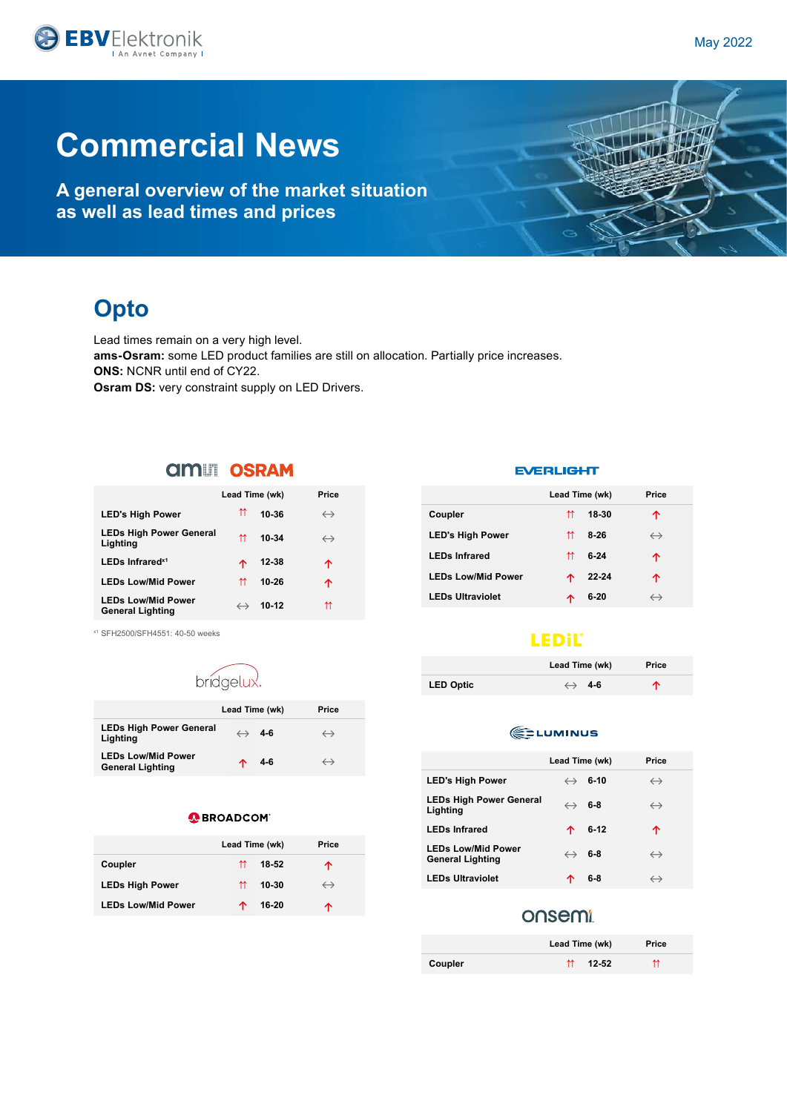**A general overview of the market situation as well as lead times and prices**

## **Opto**

Lead times remain on a very high level. **ams-Osram:** some LED product families are still on allocation. Partially price increases. **ONS:** NCNR until end of CY22. **Osram DS:** very constraint supply on LED Drivers.

### **AMILI OSRAM**

|                                                      | Lead Time (wk)    |         | Price             |
|------------------------------------------------------|-------------------|---------|-------------------|
| <b>LED's High Power</b>                              | ⇈                 | 10-36   | $\leftrightarrow$ |
| <b>LEDs High Power General</b><br>Lighting           | ⇈                 | 10-34   | $\leftrightarrow$ |
| LEDs Infrared <sup>x1</sup>                          | 个                 | 12-38   | ኍ                 |
| <b>LEDs Low/Mid Power</b>                            | ⇈                 | 10-26   | ↑                 |
| <b>LEDs Low/Mid Power</b><br><b>General Lighting</b> | $\leftrightarrow$ | $10-12$ | ⇈                 |

x1 SFH2500/SFH4551: 40-50 weeks

## bridgelux.

|                                                      | Lead Time (wk) |                       | Price             |
|------------------------------------------------------|----------------|-----------------------|-------------------|
| <b>LEDs High Power General</b><br>Lighting           |                | $\leftrightarrow$ 4-6 | $\hookrightarrow$ |
| <b>LEDs Low/Mid Power</b><br><b>General Lighting</b> | ∧              | 4-6                   | $\hookrightarrow$ |

### **O** BROADCOM

|                           | Lead Time (wk) | Price |                   |
|---------------------------|----------------|-------|-------------------|
| Coupler                   | ⇈              | 18-52 | ᠰ                 |
| <b>LEDs High Power</b>    | ⇈              | 10-30 | $\leftrightarrow$ |
| <b>LEDs Low/Mid Power</b> | ́↑             | 16-20 | ́↑                |

#### **EVERLIGHT**

|                           | Lead Time (wk) |          | Price             |
|---------------------------|----------------|----------|-------------------|
| Coupler                   | ⇈              | 18-30    | ↑                 |
| <b>LED's High Power</b>   | ⇈              | $8-26$   | $\leftrightarrow$ |
| <b>LEDs Infrared</b>      | ⇈              | $6 - 24$ | ↑                 |
| <b>LEDs Low/Mid Power</b> | ᠰ              | 22-24    | ↑                 |
| <b>LEDs Ultraviolet</b>   | ́              | $6 - 20$ | $\leftrightarrow$ |

### **LEDIL®**

|                  | Lead Time (wk)        | Price |
|------------------|-----------------------|-------|
| <b>LED Optic</b> | $\leftrightarrow$ 4-6 | ↑     |

### **EDLUMINUS**

|                                                      | Lead Time (wk) |                        | Price             |
|------------------------------------------------------|----------------|------------------------|-------------------|
| <b>LED's High Power</b>                              |                | $\leftrightarrow$ 6-10 | $\leftrightarrow$ |
| <b>LEDs High Power General</b><br>Lighting           |                | $\leftrightarrow$ 6-8  | $\leftrightarrow$ |
| <b>LEDs Infrared</b>                                 | 个              | 6-12                   | ↑                 |
| <b>LEDs Low/Mid Power</b><br><b>General Lighting</b> |                | $\leftrightarrow$ 6-8  | $\leftrightarrow$ |
| <b>LEDs Ultraviolet</b>                              |                | 6-8                    | $\leftrightarrow$ |

### onsemi

|         | Lead Time (wk)   | Price |
|---------|------------------|-------|
| Coupler | $\uparrow$ 12-52 | ₩     |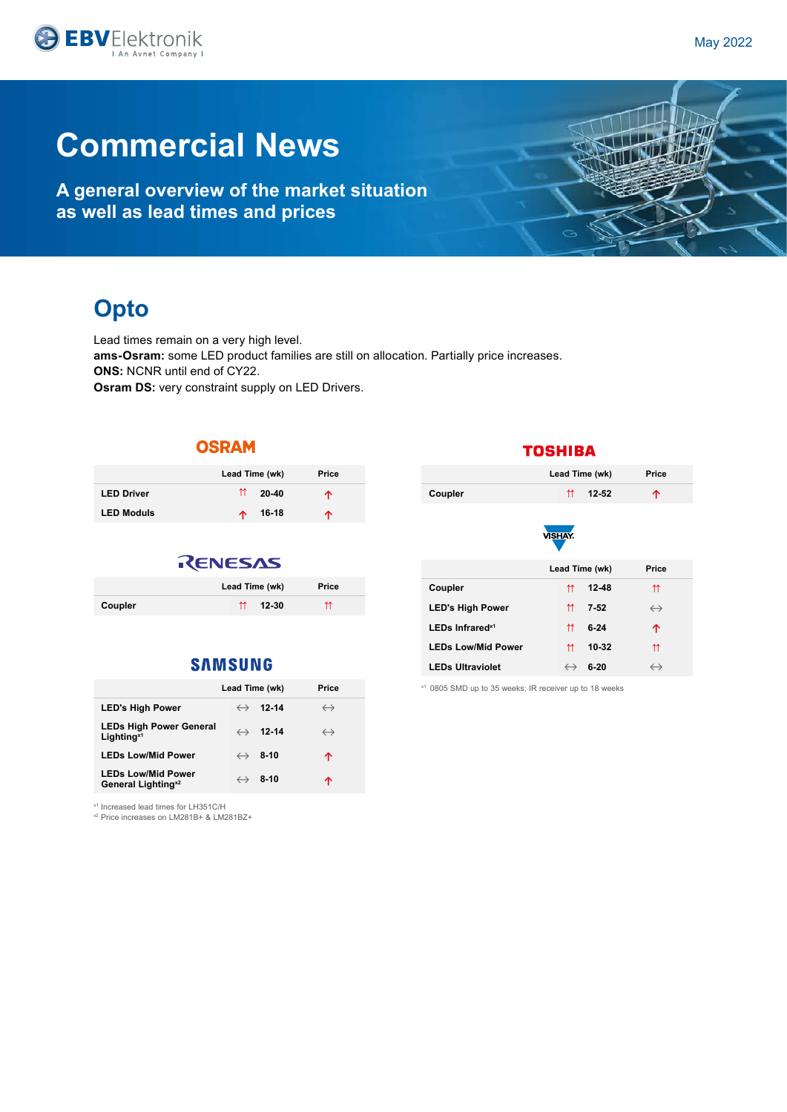

**A general overview of the market situation as well as lead times and prices**

## **Opto**

Lead times remain on a very high level. **ams-Osram:** some LED product families are still on allocation. Partially price increases. **ONS:** NCNR until end of CY22. **Osram DS:** very constraint supply on LED Drivers.

### **OSRAM**

|                   | Lead Time (wk)                 | Price |
|-------------------|--------------------------------|-------|
| <b>LED Driver</b> | $^{\prime\prime}$<br>$20 - 40$ | ᠰ     |
| <b>LED Moduls</b> | 16-18<br>本                     | ᠰ     |

### RENESAS

|         | Lead Time (wk)      | Price |
|---------|---------------------|-------|
| Coupler | $\uparrow$<br>12-30 | ⇈     |

### **SAMSUNG**

|                                                             | Lead Time (wk)             | Price             |
|-------------------------------------------------------------|----------------------------|-------------------|
| <b>LED's High Power</b>                                     | 12-14<br>$\leftrightarrow$ | $\leftrightarrow$ |
| <b>LEDs High Power General</b><br>Lighting <sup>x1</sup>    | $\leftrightarrow$ 12-14    | $\leftrightarrow$ |
| <b>LEDs Low/Mid Power</b>                                   | $\leftrightarrow$ 8-10     | ኍ                 |
| <b>LEDs Low/Mid Power</b><br>General Lighting <sup>x2</sup> | $\leftrightarrow$ 8-10     | ጥ                 |

x1 Increased lead times for LH351C/H

x2 Price increases on LM281B+ & LM281BZ+

### **TOSHIBA**

|         | Lead Time (wk) | Price |
|---------|----------------|-------|
| Coupler | $12 - 52$<br>⇈ |       |
|         | <b>VISHAY.</b> |       |
|         | Lead Time (wk) | Price |

| Coupler                     | ₩ | $12 - 48$ | ⇈                 |
|-----------------------------|---|-----------|-------------------|
| <b>LED's High Power</b>     | ⇈ | $7 - 52$  | $\leftrightarrow$ |
| LEDs Infrared <sup>x1</sup> | ⇈ | $6-24$    | ↑                 |
| <b>LEDs Low/Mid Power</b>   | ⇈ | 10-32     | ⇈                 |
| <b>LEDs Ultraviolet</b>     |   | $6-20$    |                   |

x1 0805 SMD up to 35 weeks; IR receiver up to 18 weeks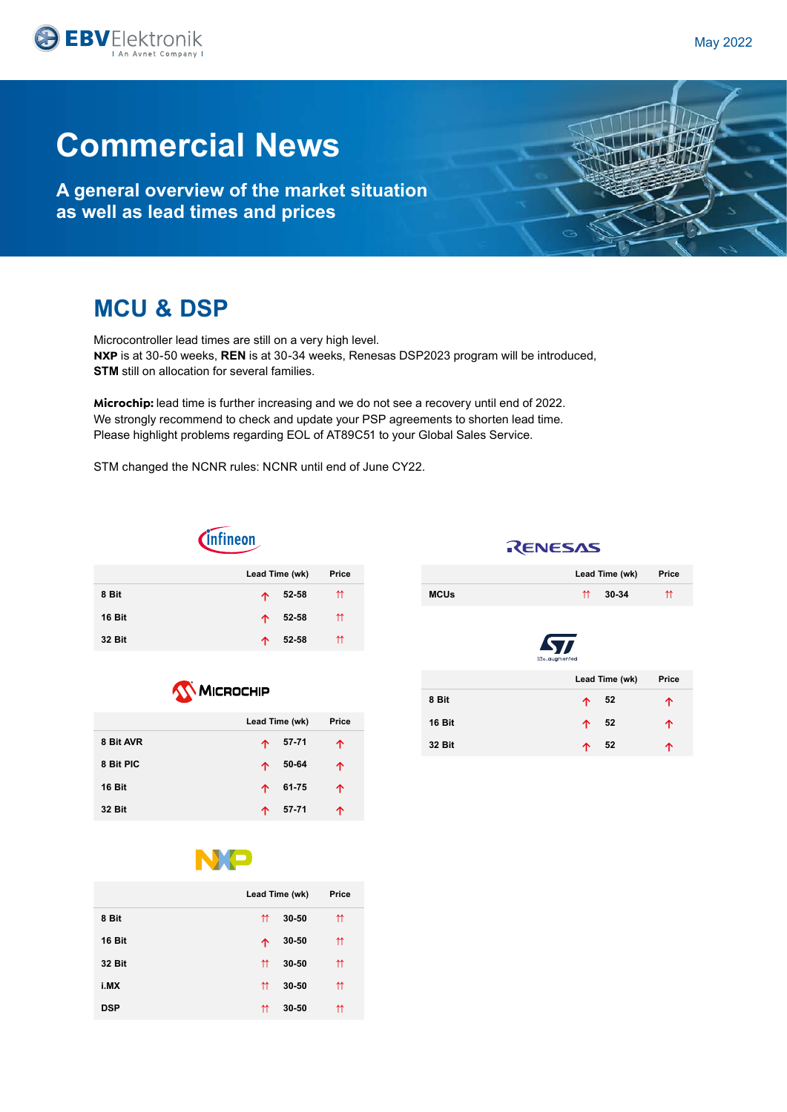**A general overview of the market situation as well as lead times and prices**

## **MCU & DSP**

Microcontroller lead times are still on a very high level. **NXP** is at 30-50 weeks, **REN** is at 30-34 weeks, Renesas DSP2023 program will be introduced, **STM** still on allocation for several families.

**Microchip:** lead time is further increasing and we do not see a recovery until end of 2022. We strongly recommend to check and update your PSP agreements to shorten lead time. Please highlight problems regarding EOL of AT89C51 to your Global Sales Service.

STM changed the NCNR rules: NCNR until end of June CY22.



|               | Lead Time (wk) | Price |
|---------------|----------------|-------|
| 8 Bit         | 52-58<br>个     | ⇈     |
| 16 Bit        | 52-58<br>个     | ⇈     |
| <b>32 Bit</b> | 52-58<br>ᠰ     | m     |

| <b>WICROCHIP</b> |                |       |  |
|------------------|----------------|-------|--|
|                  | Lead Time (wk) | Price |  |
| 8 Bit AVR        | $57 - 71$<br>个 | ↑     |  |
| 8 Bit PIC        | 50-64<br>个     | 个     |  |
| 16 Bit           | 61-75<br>个     | 个     |  |
| <b>32 Bit</b>    | 57-71<br>ኍ     | ጥ     |  |

RENESAS

|                           | Lead Time (wk) | Price |
|---------------------------|----------------|-------|
| <b>MCUs</b><br>$\uparrow$ | 30-34          | ⇈     |



|               | Lead Time (wk) | Price |
|---------------|----------------|-------|
| 8 Bit         | $\uparrow$ 52  | ኍ     |
| 16 Bit        | $\uparrow$ 52  | ኍ     |
| <b>32 Bit</b> | -52<br>个       |       |



|               | Lead Time (wk) |           | Price      |
|---------------|----------------|-----------|------------|
| 8 Bit         | ⇈              | $30 - 50$ | ⇈          |
| 16 Bit        | ↑              | 30-50     | $\uparrow$ |
| <b>32 Bit</b> | ⇈              | 30-50     | $\uparrow$ |
| i.MX          | ⇈              | 30-50     | ⇈          |
| <b>DSP</b>    | ⇈              | 30-50     | ⇈          |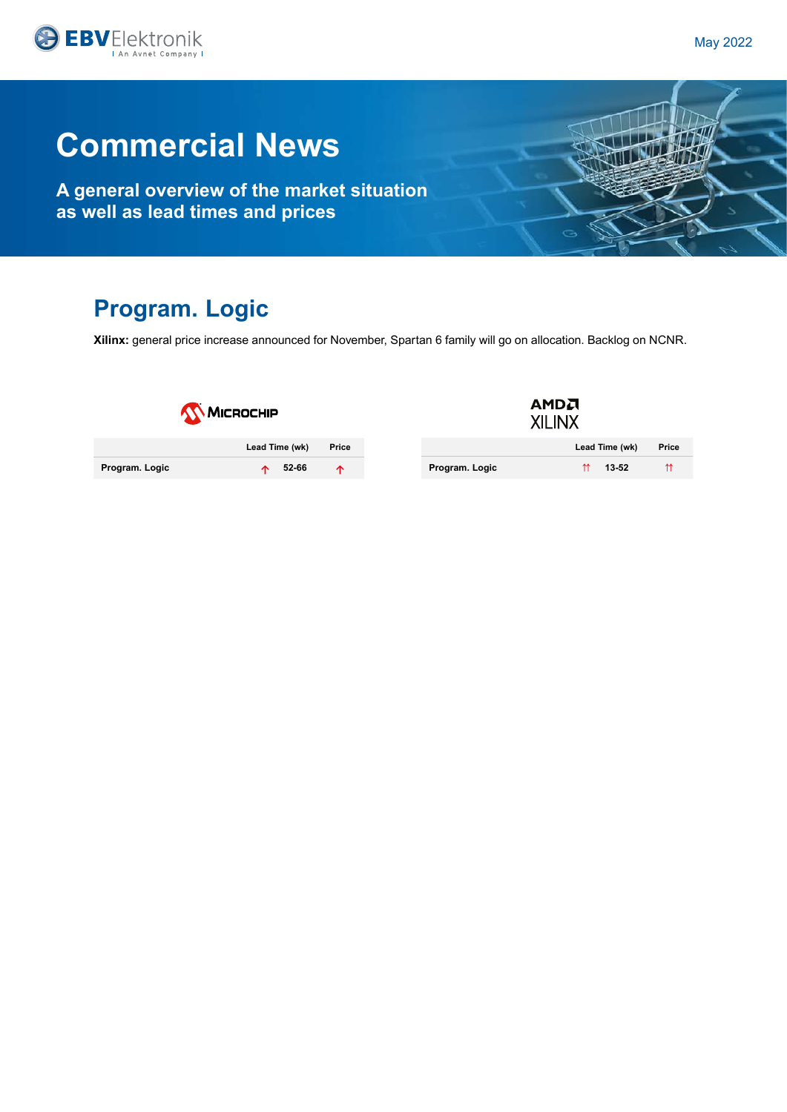

**A general overview of the market situation as well as lead times and prices**

## **Program. Logic**

**Xilinx:** general price increase announced for November, Spartan 6 family will go on allocation. Backlog on NCNR.

| <b>WICROCHIP</b> |                |       |  |
|------------------|----------------|-------|--|
|                  | Lead Time (wk) | Price |  |
| Program. Logic   | 52-66          |       |  |

| AMDA<br><b>XILINX</b> |       |
|-----------------------|-------|
| Lead Time (wk)        | Price |